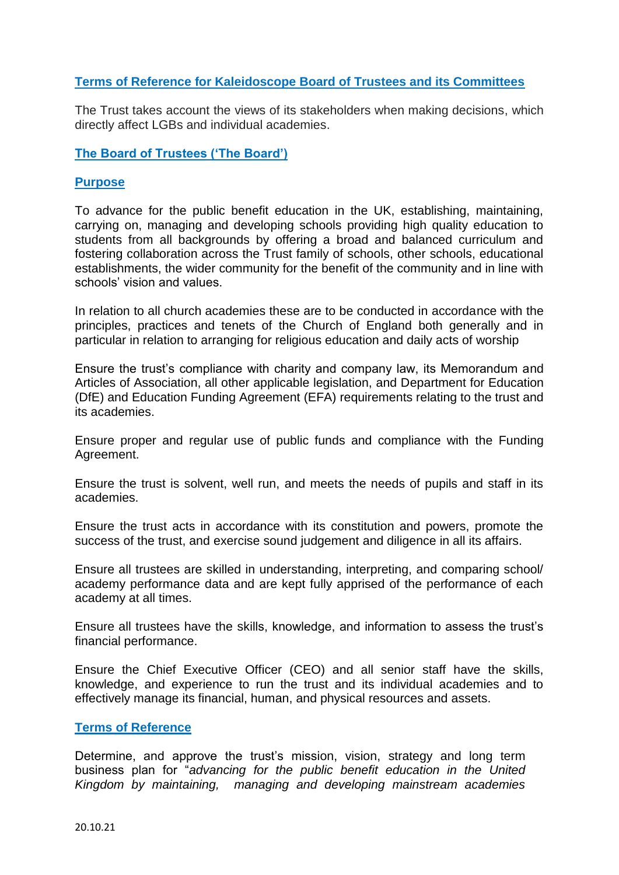# **Terms of Reference for Kaleidoscope Board of Trustees and its Committees**

The Trust takes account the views of its stakeholders when making decisions, which directly affect LGBs and individual academies.

**The Board of Trustees ('The Board')**

# **Purpose**

To advance for the public benefit education in the UK, establishing, maintaining, carrying on, managing and developing schools providing high quality education to students from all backgrounds by offering a broad and balanced curriculum and fostering collaboration across the Trust family of schools, other schools, educational establishments, the wider community for the benefit of the community and in line with schools' vision and values.

In relation to all church academies these are to be conducted in accordance with the principles, practices and tenets of the Church of England both generally and in particular in relation to arranging for religious education and daily acts of worship

Ensure the trust's compliance with charity and company law, its Memorandum and Articles of Association, all other applicable legislation, and Department for Education (DfE) and Education Funding Agreement (EFA) requirements relating to the trust and its academies.

Ensure proper and regular use of public funds and compliance with the Funding Agreement.

Ensure the trust is solvent, well run, and meets the needs of pupils and staff in its academies.

Ensure the trust acts in accordance with its constitution and powers, promote the success of the trust, and exercise sound judgement and diligence in all its affairs.

Ensure all trustees are skilled in understanding, interpreting, and comparing school/ academy performance data and are kept fully apprised of the performance of each academy at all times.

Ensure all trustees have the skills, knowledge, and information to assess the trust's financial performance.

Ensure the Chief Executive Officer (CEO) and all senior staff have the skills, knowledge, and experience to run the trust and its individual academies and to effectively manage its financial, human, and physical resources and assets.

### **Terms of Reference**

Determine, and approve the trust's mission, vision, strategy and long term business plan for "*advancing for the public benefit education in the United Kingdom by maintaining, managing and developing mainstream academies*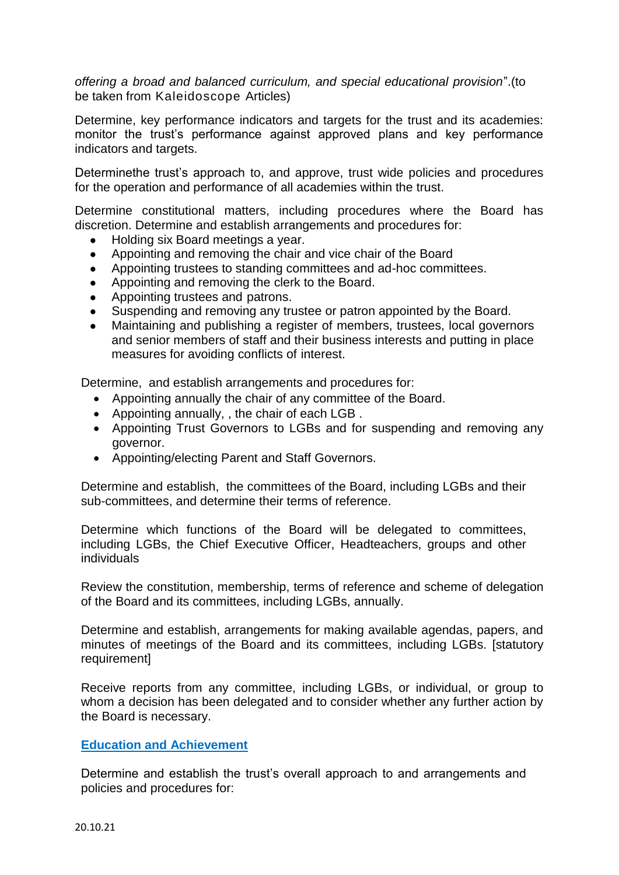*offering a broad and balanced curriculum, and special educational provision*".(to be taken from Kaleidoscope Articles)

Determine, key performance indicators and targets for the trust and its academies: monitor the trust's performance against approved plans and key performance indicators and targets.

Determinethe trust's approach to, and approve, trust wide policies and procedures for the operation and performance of all academies within the trust.

Determine constitutional matters, including procedures where the Board has discretion. Determine and establish arrangements and procedures for:

- Holding six Board meetings a year.
- Appointing and removing the chair and vice chair of the Board
- Appointing trustees to standing committees and ad-hoc committees.
- Appointing and removing the clerk to the Board.
- Appointing trustees and patrons.
- Suspending and removing any trustee or patron appointed by the Board.
- Maintaining and publishing a register of members, trustees, local governors and senior members of staff and their business interests and putting in place measures for avoiding conflicts of interest.

Determine, and establish arrangements and procedures for:

- Appointing annually the chair of any committee of the Board.
- Appointing annually, , the chair of each LGB .
- Appointing Trust Governors to LGBs and for suspending and removing any governor.
- Appointing/electing Parent and Staff Governors.

Determine and establish, the committees of the Board, including LGBs and their sub-committees, and determine their terms of reference.

Determine which functions of the Board will be delegated to committees, including LGBs, the Chief Executive Officer, Headteachers, groups and other individuals

Review the constitution, membership, terms of reference and scheme of delegation of the Board and its committees, including LGBs, annually.

Determine and establish, arrangements for making available agendas, papers, and minutes of meetings of the Board and its committees, including LGBs. [statutory requirement]

Receive reports from any committee, including LGBs, or individual, or group to whom a decision has been delegated and to consider whether any further action by the Board is necessary.

## **Education and Achievement**

Determine and establish the trust's overall approach to and arrangements and policies and procedures for: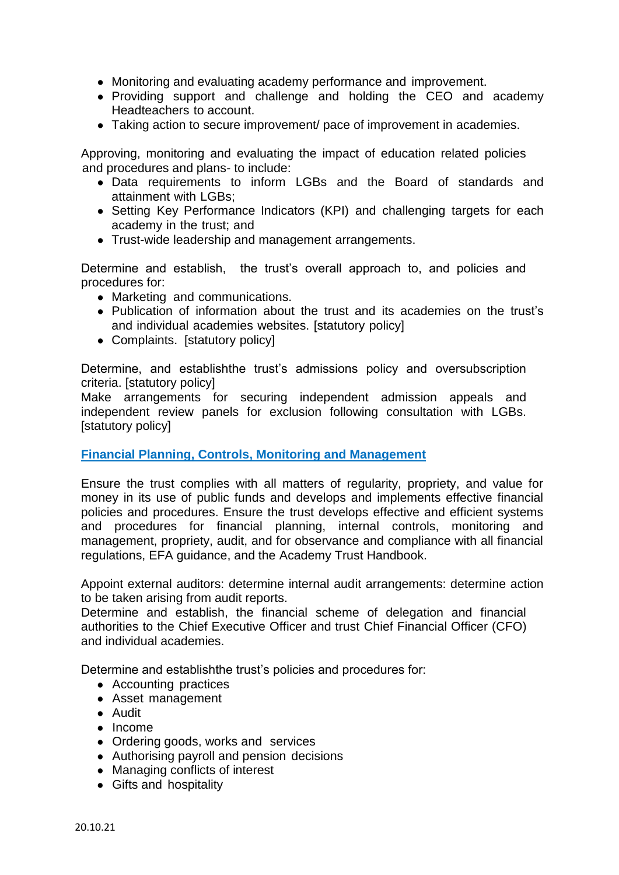- Monitoring and evaluating academy performance and improvement.
- Providing support and challenge and holding the CEO and academy Headteachers to account.
- Taking action to secure improvement/ pace of improvement in academies.

Approving, monitoring and evaluating the impact of education related policies and procedures and plans- to include:

- Data requirements to inform LGBs and the Board of standards and attainment with LGBs;
- Setting Key Performance Indicators (KPI) and challenging targets for each academy in the trust; and
- Trust-wide leadership and management arrangements.

Determine and establish, the trust's overall approach to, and policies and procedures for:

- Marketing and communications.
- Publication of information about the trust and its academies on the trust's and individual academies websites. [statutory policy]
- Complaints. [statutory policy]

Determine, and establishthe trust's admissions policy and oversubscription criteria. [statutory policy]

Make arrangements for securing independent admission appeals and independent review panels for exclusion following consultation with LGBs. [statutory policy]

### **Financial Planning, Controls, Monitoring and Management**

Ensure the trust complies with all matters of regularity, propriety, and value for money in its use of public funds and develops and implements effective financial policies and procedures. Ensure the trust develops effective and efficient systems and procedures for financial planning, internal controls, monitoring and management, propriety, audit, and for observance and compliance with all financial regulations, EFA guidance, and the Academy Trust Handbook.

Appoint external auditors: determine internal audit arrangements: determine action to be taken arising from audit reports.

Determine and establish, the financial scheme of delegation and financial authorities to the Chief Executive Officer and trust Chief Financial Officer (CFO) and individual academies.

Determine and establishthe trust's policies and procedures for:

- Accounting practices
- Asset management
- Audit
- Income
- Ordering goods, works and services
- Authorising payroll and pension decisions
- Managing conflicts of interest
- Gifts and hospitality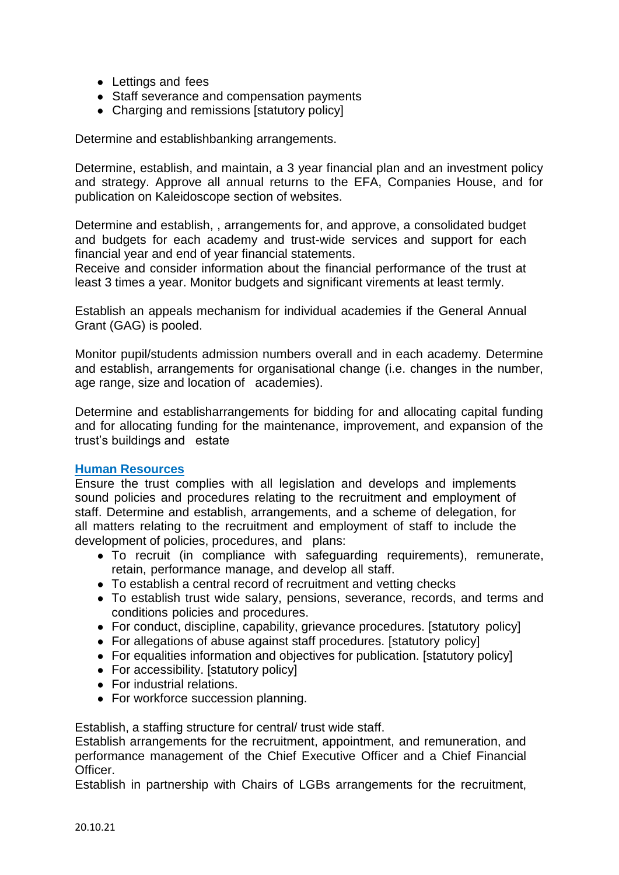- Lettings and fees
- Staff severance and compensation payments
- Charging and remissions [statutory policy]

Determine and establishbanking arrangements.

Determine, establish, and maintain, a 3 year financial plan and an investment policy and strategy. Approve all annual returns to the EFA, Companies House, and for publication on Kaleidoscope section of websites.

Determine and establish, , arrangements for, and approve, a consolidated budget and budgets for each academy and trust-wide services and support for each financial year and end of year financial statements.

Receive and consider information about the financial performance of the trust at least 3 times a year. Monitor budgets and significant virements at least termly.

Establish an appeals mechanism for individual academies if the General Annual Grant (GAG) is pooled.

Monitor pupil/students admission numbers overall and in each academy. Determine and establish, arrangements for organisational change (i.e. changes in the number, age range, size and location of academies).

Determine and establisharrangements for bidding for and allocating capital funding and for allocating funding for the maintenance, improvement, and expansion of the trust's buildings and estate

# **Human Resources**

Ensure the trust complies with all legislation and develops and implements sound policies and procedures relating to the recruitment and employment of staff. Determine and establish, arrangements, and a scheme of delegation, for all matters relating to the recruitment and employment of staff to include the development of policies, procedures, and plans:

- To recruit (in compliance with safeguarding requirements), remunerate, retain, performance manage, and develop all staff.
- To establish a central record of recruitment and vetting checks
- To establish trust wide salary, pensions, severance, records, and terms and conditions policies and procedures.
- For conduct, discipline, capability, grievance procedures. [statutory policy]
- For allegations of abuse against staff procedures. [statutory policy]
- For equalities information and objectives for publication. [statutory policy]
- For accessibility. Istatutory policyl
- For industrial relations.
- For workforce succession planning.

Establish, a staffing structure for central/ trust wide staff.

Establish arrangements for the recruitment, appointment, and remuneration, and performance management of the Chief Executive Officer and a Chief Financial Officer.

Establish in partnership with Chairs of LGBs arrangements for the recruitment,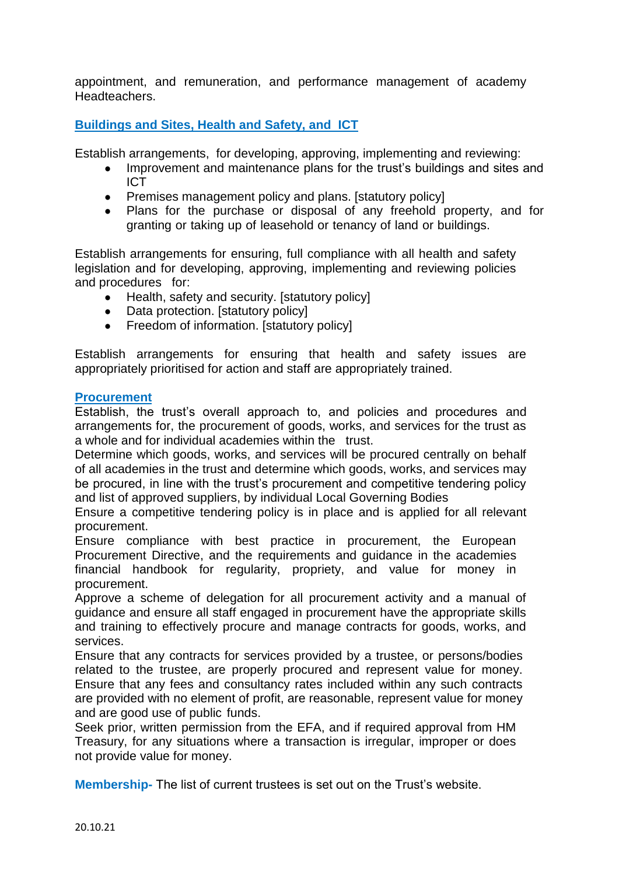appointment, and remuneration, and performance management of academy Headteachers.

**Buildings and Sites, Health and Safety, and ICT**

Establish arrangements, for developing, approving, implementing and reviewing:

- Improvement and maintenance plans for the trust's buildings and sites and ICT
- Premises management policy and plans. [statutory policy]
- Plans for the purchase or disposal of any freehold property, and for granting or taking up of leasehold or tenancy of land or buildings.

Establish arrangements for ensuring, full compliance with all health and safety legislation and for developing, approving, implementing and reviewing policies and procedures for:

- Health, safety and security. [statutory policy]
- Data protection. [statutory policy]
- Freedom of information. [statutory policy]

Establish arrangements for ensuring that health and safety issues are appropriately prioritised for action and staff are appropriately trained.

## **Procurement**

Establish, the trust's overall approach to, and policies and procedures and arrangements for, the procurement of goods, works, and services for the trust as a whole and for individual academies within the trust.

Determine which goods, works, and services will be procured centrally on behalf of all academies in the trust and determine which goods, works, and services may be procured, in line with the trust's procurement and competitive tendering policy and list of approved suppliers, by individual Local Governing Bodies

Ensure a competitive tendering policy is in place and is applied for all relevant procurement.

Ensure compliance with best practice in procurement, the European Procurement Directive, and the requirements and guidance in the academies financial handbook for regularity, propriety, and value for money in procurement.

Approve a scheme of delegation for all procurement activity and a manual of guidance and ensure all staff engaged in procurement have the appropriate skills and training to effectively procure and manage contracts for goods, works, and services.

Ensure that any contracts for services provided by a trustee, or persons/bodies related to the trustee, are properly procured and represent value for money. Ensure that any fees and consultancy rates included within any such contracts are provided with no element of profit, are reasonable, represent value for money and are good use of public funds.

Seek prior, written permission from the EFA, and if required approval from HM Treasury, for any situations where a transaction is irregular, improper or does not provide value for money.

**Membership-** The list of current trustees is set out on the Trust's website.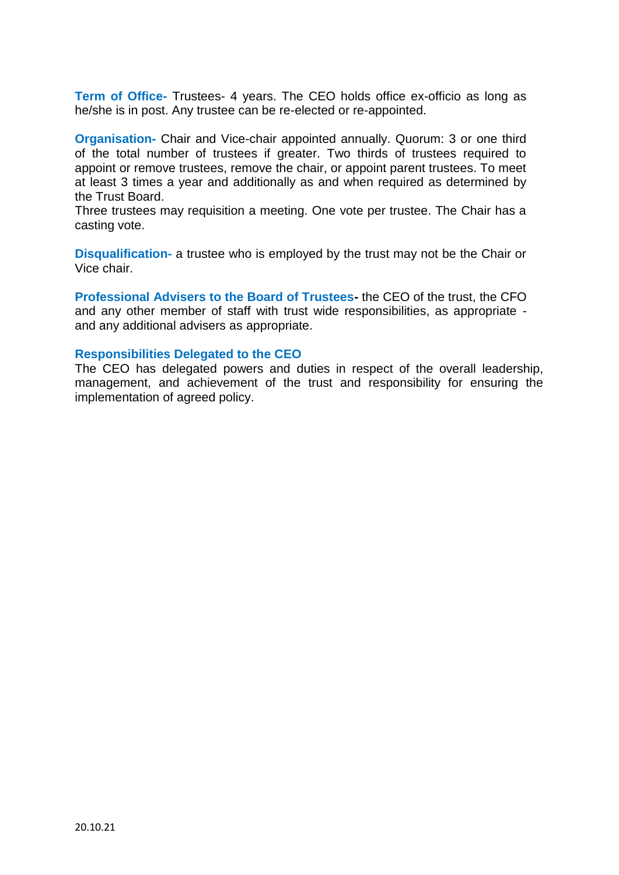**Term of Office-** Trustees- 4 years. The CEO holds office ex-officio as long as he/she is in post. Any trustee can be re-elected or re-appointed.

**Organisation-** Chair and Vice-chair appointed annually. Quorum: 3 or one third of the total number of trustees if greater. Two thirds of trustees required to appoint or remove trustees, remove the chair, or appoint parent trustees. To meet at least 3 times a year and additionally as and when required as determined by the Trust Board.

Three trustees may requisition a meeting. One vote per trustee. The Chair has a casting vote.

**Disqualification-** a trustee who is employed by the trust may not be the Chair or Vice chair.

**Professional Advisers to the Board of Trustees-** the CEO of the trust, the CFO and any other member of staff with trust wide responsibilities, as appropriate and any additional advisers as appropriate.

#### **Responsibilities Delegated to the CEO**

The CEO has delegated powers and duties in respect of the overall leadership, management, and achievement of the trust and responsibility for ensuring the implementation of agreed policy.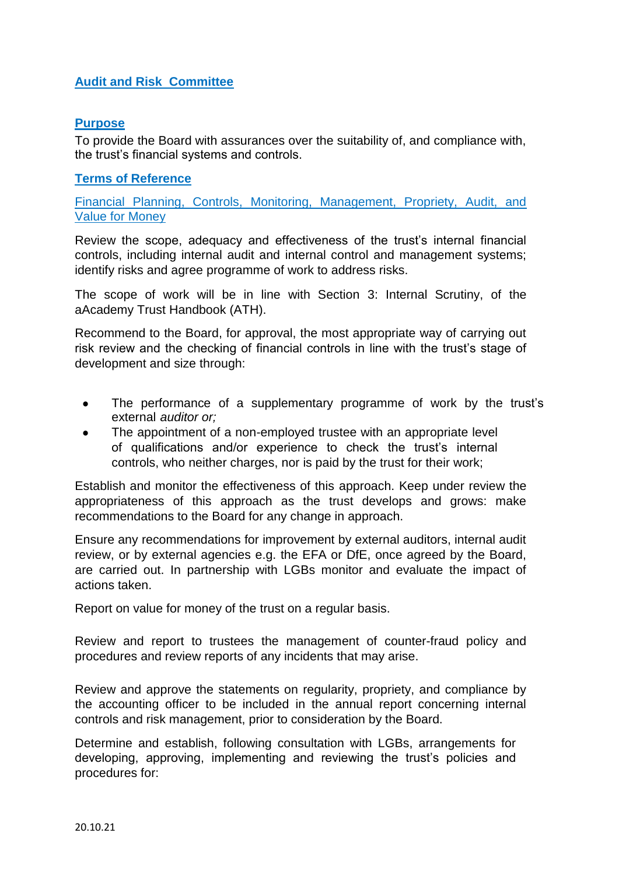# **Audit and Risk Committee**

## **Purpose**

To provide the Board with assurances over the suitability of, and compliance with, the trust's financial systems and controls.

## **Terms of Reference**

Financial Planning, Controls, Monitoring, Management, Propriety, Audit, and Value for Money

Review the scope, adequacy and effectiveness of the trust's internal financial controls, including internal audit and internal control and management systems; identify risks and agree programme of work to address risks.

The scope of work will be in line with Section 3: Internal Scrutiny, of the aAcademy Trust Handbook (ATH).

Recommend to the Board, for approval, the most appropriate way of carrying out risk review and the checking of financial controls in line with the trust's stage of development and size through:

- The performance of a supplementary programme of work by the trust's external *auditor or;*
- The appointment of a non-employed trustee with an appropriate level of qualifications and/or experience to check the trust's internal controls, who neither charges, nor is paid by the trust for their work;

Establish and monitor the effectiveness of this approach. Keep under review the appropriateness of this approach as the trust develops and grows: make recommendations to the Board for any change in approach.

Ensure any recommendations for improvement by external auditors, internal audit review, or by external agencies e.g. the EFA or DfE, once agreed by the Board, are carried out. In partnership with LGBs monitor and evaluate the impact of actions taken.

Report on value for money of the trust on a regular basis.

Review and report to trustees the management of counter-fraud policy and procedures and review reports of any incidents that may arise.

Review and approve the statements on regularity, propriety, and compliance by the accounting officer to be included in the annual report concerning internal controls and risk management, prior to consideration by the Board.

Determine and establish, following consultation with LGBs, arrangements for developing, approving, implementing and reviewing the trust's policies and procedures for: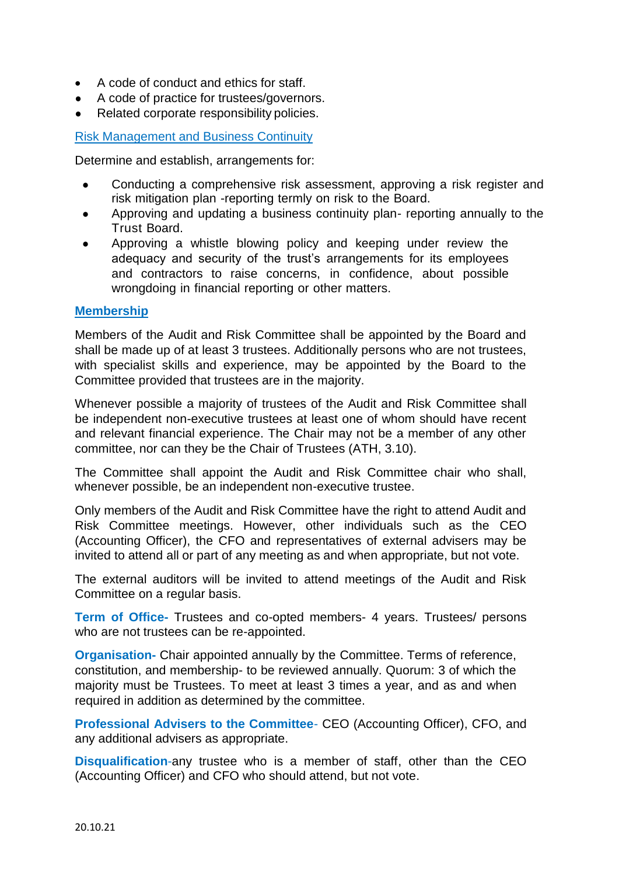- A code of conduct and ethics for staff.
- A code of practice for trustees/governors.
- Related corporate responsibility policies.

## Risk Management and Business Continuity

Determine and establish, arrangements for:

- Conducting a comprehensive risk assessment, approving a risk register and risk mitigation plan -reporting termly on risk to the Board.
- Approving and updating a business continuity plan- reporting annually to the Trust Board.
- Approving a whistle blowing policy and keeping under review the adequacy and security of the trust's arrangements for its employees and contractors to raise concerns, in confidence, about possible wrongdoing in financial reporting or other matters.

#### **Membership**

Members of the Audit and Risk Committee shall be appointed by the Board and shall be made up of at least 3 trustees. Additionally persons who are not trustees, with specialist skills and experience, may be appointed by the Board to the Committee provided that trustees are in the majority.

Whenever possible a majority of trustees of the Audit and Risk Committee shall be independent non-executive trustees at least one of whom should have recent and relevant financial experience. The Chair may not be a member of any other committee, nor can they be the Chair of Trustees (ATH, 3.10).

The Committee shall appoint the Audit and Risk Committee chair who shall, whenever possible, be an independent non-executive trustee.

Only members of the Audit and Risk Committee have the right to attend Audit and Risk Committee meetings. However, other individuals such as the CEO (Accounting Officer), the CFO and representatives of external advisers may be invited to attend all or part of any meeting as and when appropriate, but not vote.

The external auditors will be invited to attend meetings of the Audit and Risk Committee on a regular basis.

**Term of Office-** Trustees and co-opted members- 4 years. Trustees/ persons who are not trustees can be re-appointed.

**Organisation-** Chair appointed annually by the Committee. Terms of reference, constitution, and membership- to be reviewed annually. Quorum: 3 of which the majority must be Trustees. To meet at least 3 times a year, and as and when required in addition as determined by the committee.

**Professional Advisers to the Committee**- CEO (Accounting Officer), CFO, and any additional advisers as appropriate.

**Disqualification**-any trustee who is a member of staff, other than the CEO (Accounting Officer) and CFO who should attend, but not vote.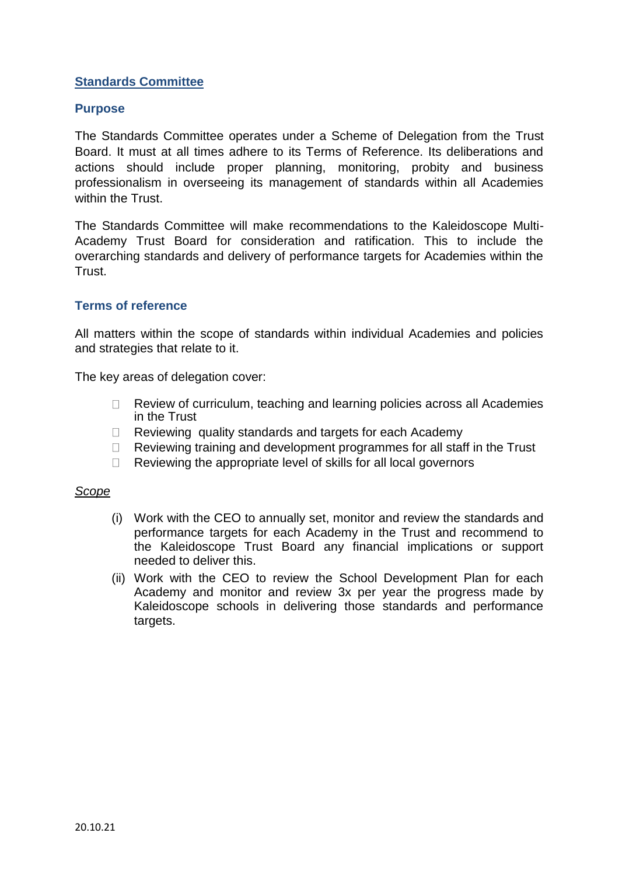# **Standards Committee**

## **Purpose**

The Standards Committee operates under a Scheme of Delegation from the Trust Board. It must at all times adhere to its Terms of Reference. Its deliberations and actions should include proper planning, monitoring, probity and business professionalism in overseeing its management of standards within all Academies within the Trust.

The Standards Committee will make recommendations to the Kaleidoscope Multi-Academy Trust Board for consideration and ratification. This to include the overarching standards and delivery of performance targets for Academies within the Trust.

## **Terms of reference**

All matters within the scope of standards within individual Academies and policies and strategies that relate to it.

The key areas of delegation cover:

- Review of curriculum, teaching and learning policies across all Academies  $\Box$ in the Trust
- Reviewing quality standards and targets for each Academy  $\Box$
- $\Box$ Reviewing training and development programmes for all staff in the Trust
- Reviewing the appropriate level of skills for all local governors  $\Box$

### *Scope*

- (i) Work with the CEO to annually set, monitor and review the standards and performance targets for each Academy in the Trust and recommend to the Kaleidoscope Trust Board any financial implications or support needed to deliver this.
- (ii) Work with the CEO to review the School Development Plan for each Academy and monitor and review 3x per year the progress made by Kaleidoscope schools in delivering those standards and performance targets.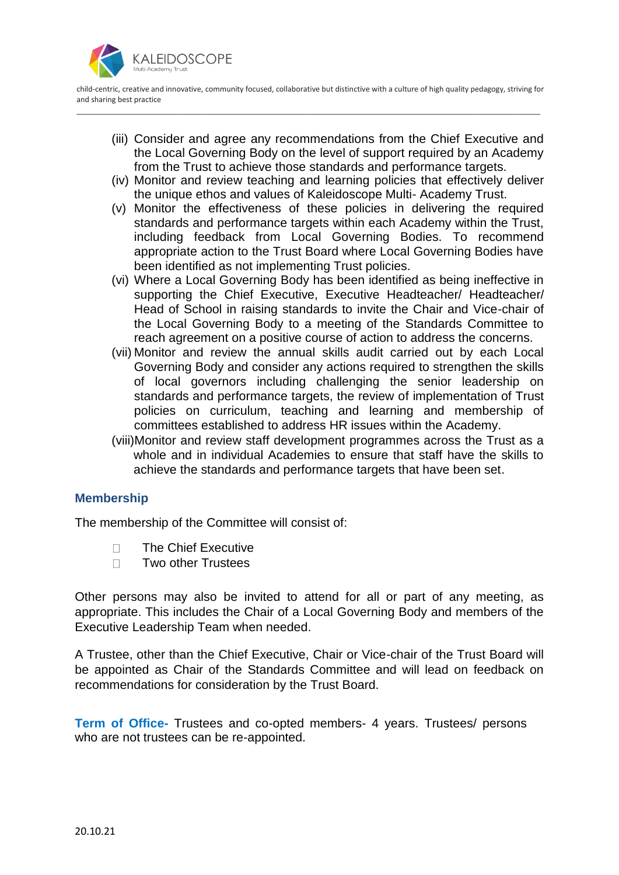

child-centric, creative and innovative, community focused, collaborative but distinctive with a culture of high quality pedagogy, striving for and sharing best practice \_\_\_\_\_\_\_\_\_\_\_\_\_\_\_\_\_\_\_\_\_\_\_\_\_\_\_\_\_\_\_\_\_\_\_\_\_\_\_\_\_\_\_\_\_\_\_\_\_\_\_\_\_\_\_\_\_\_\_\_\_\_\_\_\_\_\_\_\_\_\_\_\_\_\_\_\_\_\_\_\_\_\_\_\_\_\_\_\_\_\_\_\_\_\_\_\_\_\_\_\_\_\_\_\_\_\_\_\_\_\_\_

- (iii) Consider and agree any recommendations from the Chief Executive and the Local Governing Body on the level of support required by an Academy from the Trust to achieve those standards and performance targets.
- (iv) Monitor and review teaching and learning policies that effectively deliver the unique ethos and values of Kaleidoscope Multi- Academy Trust.
- (v) Monitor the effectiveness of these policies in delivering the required standards and performance targets within each Academy within the Trust, including feedback from Local Governing Bodies. To recommend appropriate action to the Trust Board where Local Governing Bodies have been identified as not implementing Trust policies.
- (vi) Where a Local Governing Body has been identified as being ineffective in supporting the Chief Executive, Executive Headteacher/ Headteacher/ Head of School in raising standards to invite the Chair and Vice-chair of the Local Governing Body to a meeting of the Standards Committee to reach agreement on a positive course of action to address the concerns.
- (vii) Monitor and review the annual skills audit carried out by each Local Governing Body and consider any actions required to strengthen the skills of local governors including challenging the senior leadership on standards and performance targets, the review of implementation of Trust policies on curriculum, teaching and learning and membership of committees established to address HR issues within the Academy.
- (viii)Monitor and review staff development programmes across the Trust as a whole and in individual Academies to ensure that staff have the skills to achieve the standards and performance targets that have been set.

# **Membership**

The membership of the Committee will consist of:

- $\Box$ The Chief Executive
- Two other Trustees  $\Box$

Other persons may also be invited to attend for all or part of any meeting, as appropriate. This includes the Chair of a Local Governing Body and members of the Executive Leadership Team when needed.

A Trustee, other than the Chief Executive, Chair or Vice-chair of the Trust Board will be appointed as Chair of the Standards Committee and will lead on feedback on recommendations for consideration by the Trust Board.

**Term of Office-** Trustees and co-opted members- 4 years. Trustees/ persons who are not trustees can be re-appointed.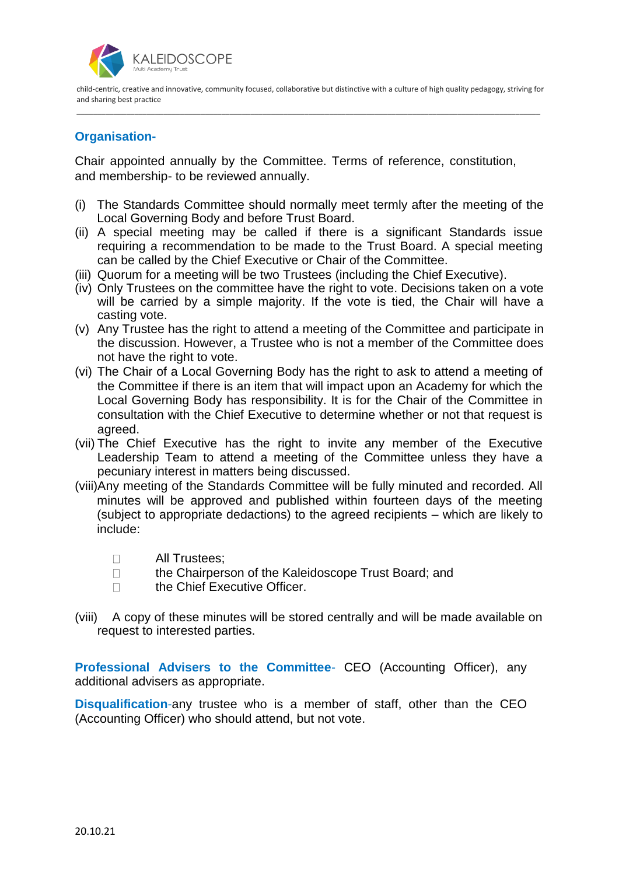

child-centric, creative and innovative, community focused, collaborative but distinctive with a culture of high quality pedagogy, striving for and sharing best practice \_\_\_\_\_\_\_\_\_\_\_\_\_\_\_\_\_\_\_\_\_\_\_\_\_\_\_\_\_\_\_\_\_\_\_\_\_\_\_\_\_\_\_\_\_\_\_\_\_\_\_\_\_\_\_\_\_\_\_\_\_\_\_\_\_\_\_\_\_\_\_\_\_\_\_\_\_\_\_\_\_\_\_\_\_\_\_\_\_\_\_\_\_\_\_\_\_\_\_\_\_\_\_\_\_\_\_\_\_\_\_\_

# **Organisation-**

Chair appointed annually by the Committee. Terms of reference, constitution, and membership- to be reviewed annually.

- (i) The Standards Committee should normally meet termly after the meeting of the Local Governing Body and before Trust Board.
- (ii) A special meeting may be called if there is a significant Standards issue requiring a recommendation to be made to the Trust Board. A special meeting can be called by the Chief Executive or Chair of the Committee.
- (iii) Quorum for a meeting will be two Trustees (including the Chief Executive).
- (iv) Only Trustees on the committee have the right to vote. Decisions taken on a vote will be carried by a simple majority. If the vote is tied, the Chair will have a casting vote.
- (v) Any Trustee has the right to attend a meeting of the Committee and participate in the discussion. However, a Trustee who is not a member of the Committee does not have the right to vote.
- (vi) The Chair of a Local Governing Body has the right to ask to attend a meeting of the Committee if there is an item that will impact upon an Academy for which the Local Governing Body has responsibility. It is for the Chair of the Committee in consultation with the Chief Executive to determine whether or not that request is agreed.
- (vii) The Chief Executive has the right to invite any member of the Executive Leadership Team to attend a meeting of the Committee unless they have a pecuniary interest in matters being discussed.
- (viii)Any meeting of the Standards Committee will be fully minuted and recorded. All minutes will be approved and published within fourteen days of the meeting (subject to appropriate dedactions) to the agreed recipients – which are likely to include:
	- All Trustees;  $\Box$
	- $\Box$ the Chairperson of the Kaleidoscope Trust Board; and
	- $\Box$ the Chief Executive Officer.
- (viii) A copy of these minutes will be stored centrally and will be made available on request to interested parties.

**Professional Advisers to the Committee**- CEO (Accounting Officer), any additional advisers as appropriate.

**Disqualification**-any trustee who is a member of staff, other than the CEO (Accounting Officer) who should attend, but not vote.